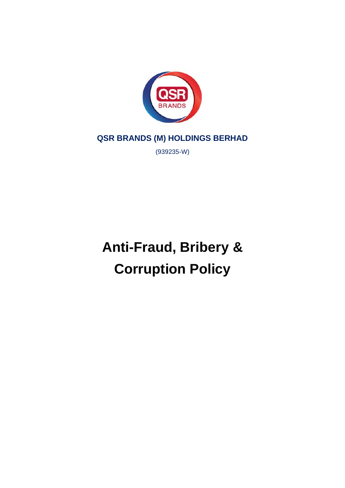

**QSR BRANDS (M) HOLDINGS BERHAD**

(939235-W)

**Anti-Fraud, Bribery & Corruption Policy**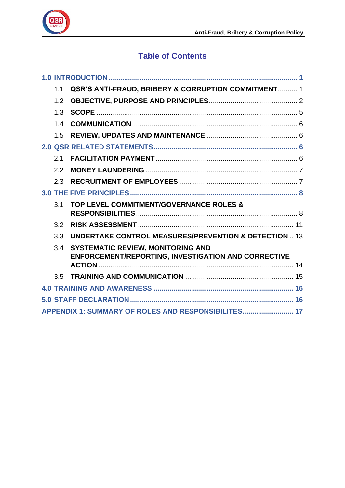

# **Table of Contents**

|  | 1.1                                                 | QSR'S ANTI-FRAUD, BRIBERY & CORRUPTION COMMITMENT 1                                                    |  |  |  |
|--|-----------------------------------------------------|--------------------------------------------------------------------------------------------------------|--|--|--|
|  | 1.2                                                 |                                                                                                        |  |  |  |
|  | 1.3                                                 |                                                                                                        |  |  |  |
|  | 1.4                                                 |                                                                                                        |  |  |  |
|  | 1.5                                                 |                                                                                                        |  |  |  |
|  |                                                     |                                                                                                        |  |  |  |
|  | 2.1                                                 |                                                                                                        |  |  |  |
|  | 2.2                                                 |                                                                                                        |  |  |  |
|  | 2.3                                                 |                                                                                                        |  |  |  |
|  |                                                     |                                                                                                        |  |  |  |
|  | 3.1                                                 | TOP LEVEL COMMITMENT/GOVERNANCE ROLES &                                                                |  |  |  |
|  | 3.2                                                 |                                                                                                        |  |  |  |
|  | 3.3                                                 | <b>UNDERTAKE CONTROL MEASURES/PREVENTION &amp; DETECTION  13</b>                                       |  |  |  |
|  | 3.4                                                 | <b>SYSTEMATIC REVIEW, MONITORING AND</b><br><b>ENFORCEMENT/REPORTING, INVESTIGATION AND CORRECTIVE</b> |  |  |  |
|  |                                                     |                                                                                                        |  |  |  |
|  | 3.5                                                 |                                                                                                        |  |  |  |
|  |                                                     |                                                                                                        |  |  |  |
|  | 16                                                  |                                                                                                        |  |  |  |
|  | APPENDIX 1: SUMMARY OF ROLES AND RESPONSIBILITES 17 |                                                                                                        |  |  |  |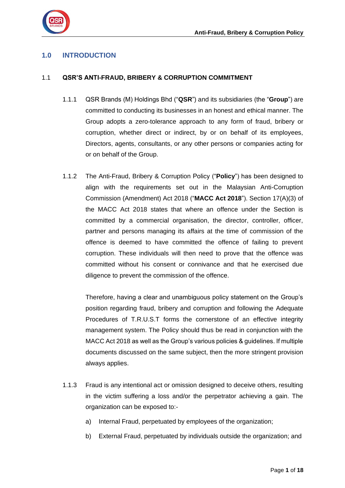

## <span id="page-2-0"></span>**1.0 INTRODUCTION**

### <span id="page-2-1"></span>1.1 **QSR'S ANTI-FRAUD, BRIBERY & CORRUPTION COMMITMENT**

- 1.1.1 QSR Brands (M) Holdings Bhd ("**QSR**") and its subsidiaries (the "**Group**") are committed to conducting its businesses in an honest and ethical manner. The Group adopts a zero-tolerance approach to any form of fraud, bribery or corruption, whether direct or indirect, by or on behalf of its employees, Directors, agents, consultants, or any other persons or companies acting for or on behalf of the Group.
- 1.1.2 The Anti-Fraud, Bribery & Corruption Policy ("**Policy**") has been designed to align with the requirements set out in the Malaysian Anti-Corruption Commission (Amendment) Act 2018 ("**MACC Act 2018**"). Section 17(A)(3) of the MACC Act 2018 states that where an offence under the Section is committed by a commercial organisation, the director, controller, officer, partner and persons managing its affairs at the time of commission of the offence is deemed to have committed the offence of failing to prevent corruption. These individuals will then need to prove that the offence was committed without his consent or connivance and that he exercised due diligence to prevent the commission of the offence.

Therefore, having a clear and unambiguous policy statement on the Group's position regarding fraud, bribery and corruption and following the Adequate Procedures of T.R.U.S.T forms the cornerstone of an effective integrity management system. The Policy should thus be read in conjunction with the MACC Act 2018 as well as the Group's various policies & guidelines. If multiple documents discussed on the same subject, then the more stringent provision always applies.

- 1.1.3 Fraud is any intentional act or omission designed to deceive others, resulting in the victim suffering a loss and/or the perpetrator achieving a gain. The organization can be exposed to:
	- a) Internal Fraud, perpetuated by employees of the organization;
	- b) External Fraud, perpetuated by individuals outside the organization; and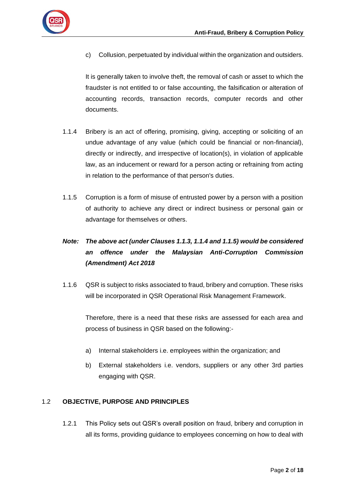

c) Collusion, perpetuated by individual within the organization and outsiders.

It is generally taken to involve theft, the removal of cash or asset to which the fraudster is not entitled to or false accounting, the falsification or alteration of accounting records, transaction records, computer records and other documents.

- 1.1.4 Bribery is an act of offering, promising, giving, accepting or soliciting of an undue advantage of any value (which could be financial or non-financial), directly or indirectly, and irrespective of location(s), in violation of applicable law, as an inducement or reward for a person acting or refraining from acting in relation to the performance of that person's duties.
- 1.1.5 Corruption is a form of misuse of entrusted power by a person with a position of authority to achieve any direct or indirect business or personal gain or advantage for themselves or others.

## *Note: The above act (under Clauses 1.1.3, 1.1.4 and 1.1.5) would be considered an offence under the Malaysian Anti-Corruption Commission (Amendment) Act 2018*

1.1.6 QSR is subject to risks associated to fraud, bribery and corruption. These risks will be incorporated in QSR Operational Risk Management Framework.

Therefore, there is a need that these risks are assessed for each area and process of business in QSR based on the following:-

- a) Internal stakeholders i.e. employees within the organization; and
- b) External stakeholders i.e. vendors, suppliers or any other 3rd parties engaging with QSR.

## <span id="page-3-0"></span>1.2 **OBJECTIVE, PURPOSE AND PRINCIPLES**

1.2.1 This Policy sets out QSR's overall position on fraud, bribery and corruption in all its forms, providing guidance to employees concerning on how to deal with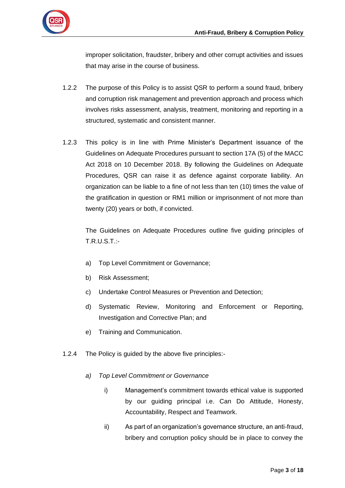

improper solicitation, fraudster, bribery and other corrupt activities and issues that may arise in the course of business.

- 1.2.2 The purpose of this Policy is to assist QSR to perform a sound fraud, bribery and corruption risk management and prevention approach and process which involves risks assessment, analysis, treatment, monitoring and reporting in a structured, systematic and consistent manner.
- 1.2.3 This policy is in line with Prime Minister's Department issuance of the Guidelines on Adequate Procedures pursuant to section 17A (5) of the MACC Act 2018 on 10 December 2018. By following the Guidelines on Adequate Procedures, QSR can raise it as defence against corporate liability. An organization can be liable to a fine of not less than ten (10) times the value of the gratification in question or RM1 million or imprisonment of not more than twenty (20) years or both, if convicted.

The Guidelines on Adequate Procedures outline five guiding principles of T.R.U.S.T.:-

- a) Top Level Commitment or Governance;
- b) Risk Assessment;
- c) Undertake Control Measures or Prevention and Detection;
- d) Systematic Review, Monitoring and Enforcement or Reporting, Investigation and Corrective Plan; and
- e) Training and Communication.
- 1.2.4 The Policy is guided by the above five principles:
	- *a) Top Level Commitment or Governance*
		- i) Management's commitment towards ethical value is supported by our guiding principal i.e. Can Do Attitude, Honesty, Accountability, Respect and Teamwork.
		- ii) As part of an organization's governance structure, an anti-fraud, bribery and corruption policy should be in place to convey the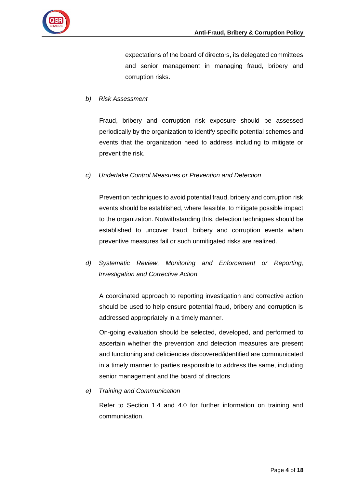

expectations of the board of directors, its delegated committees and senior management in managing fraud, bribery and corruption risks.

## *b) Risk Assessment*

Fraud, bribery and corruption risk exposure should be assessed periodically by the organization to identify specific potential schemes and events that the organization need to address including to mitigate or prevent the risk.

#### *c) Undertake Control Measures or Prevention and Detection*

Prevention techniques to avoid potential fraud, bribery and corruption risk events should be established, where feasible, to mitigate possible impact to the organization. Notwithstanding this, detection techniques should be established to uncover fraud, bribery and corruption events when preventive measures fail or such unmitigated risks are realized.

*d) Systematic Review, Monitoring and Enforcement or Reporting, Investigation and Corrective Action*

A coordinated approach to reporting investigation and corrective action should be used to help ensure potential fraud, bribery and corruption is addressed appropriately in a timely manner.

On-going evaluation should be selected, developed, and performed to ascertain whether the prevention and detection measures are present and functioning and deficiencies discovered/identified are communicated in a timely manner to parties responsible to address the same, including senior management and the board of directors

*e) Training and Communication* 

Refer to Section 1.4 and 4.0 for further information on training and communication.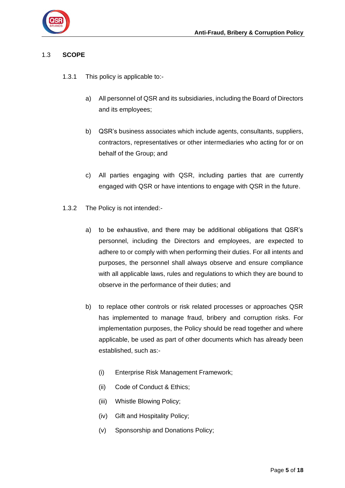

## <span id="page-6-0"></span>1.3 **SCOPE**

- 1.3.1 This policy is applicable to:
	- a) All personnel of QSR and its subsidiaries, including the Board of Directors and its employees;
	- b) QSR's business associates which include agents, consultants, suppliers, contractors, representatives or other intermediaries who acting for or on behalf of the Group; and
	- c) All parties engaging with QSR, including parties that are currently engaged with QSR or have intentions to engage with QSR in the future.
- 1.3.2 The Policy is not intended:
	- a) to be exhaustive, and there may be additional obligations that QSR's personnel, including the Directors and employees, are expected to adhere to or comply with when performing their duties. For all intents and purposes, the personnel shall always observe and ensure compliance with all applicable laws, rules and regulations to which they are bound to observe in the performance of their duties; and
	- b) to replace other controls or risk related processes or approaches QSR has implemented to manage fraud, bribery and corruption risks. For implementation purposes, the Policy should be read together and where applicable, be used as part of other documents which has already been established, such as:-
		- (i) Enterprise Risk Management Framework;
		- (ii) Code of Conduct & Ethics;
		- (iii) Whistle Blowing Policy;
		- (iv) Gift and Hospitality Policy;
		- (v) Sponsorship and Donations Policy;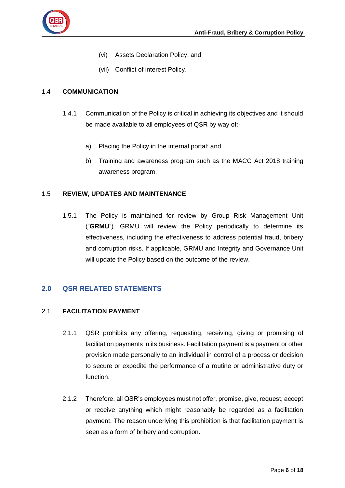

- (vi) Assets Declaration Policy; and
- (vii) Conflict of interest Policy.

## <span id="page-7-0"></span>1.4 **COMMUNICATION**

- 1.4.1 Communication of the Policy is critical in achieving its objectives and it should be made available to all employees of QSR by way of:
	- a) Placing the Policy in the internal portal; and
	- b) Training and awareness program such as the MACC Act 2018 training awareness program.

## <span id="page-7-1"></span>1.5 **REVIEW, UPDATES AND MAINTENANCE**

1.5.1 The Policy is maintained for review by Group Risk Management Unit ("**GRMU**"). GRMU will review the Policy periodically to determine its effectiveness, including the effectiveness to address potential fraud, bribery and corruption risks. If applicable, GRMU and Integrity and Governance Unit will update the Policy based on the outcome of the review.

## <span id="page-7-2"></span>**2.0 QSR RELATED STATEMENTS**

#### <span id="page-7-3"></span>2.1 **FACILITATION PAYMENT**

- 2.1.1 QSR prohibits any offering, requesting, receiving, giving or promising of facilitation payments in its business. Facilitation payment is a payment or other provision made personally to an individual in control of a process or decision to secure or expedite the performance of a routine or administrative duty or function.
- 2.1.2 Therefore, all QSR's employees must not offer, promise, give, request, accept or receive anything which might reasonably be regarded as a facilitation payment. The reason underlying this prohibition is that facilitation payment is seen as a form of bribery and corruption.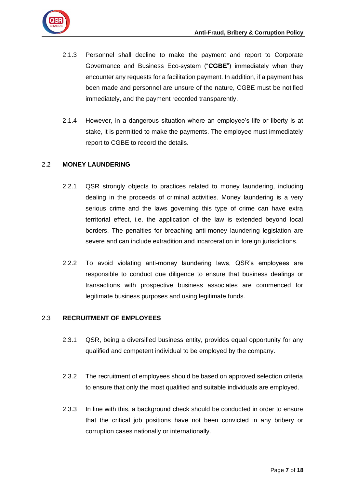

- 2.1.3 Personnel shall decline to make the payment and report to Corporate Governance and Business Eco-system ("**CGBE**") immediately when they encounter any requests for a facilitation payment. In addition, if a payment has been made and personnel are unsure of the nature, CGBE must be notified immediately, and the payment recorded transparently.
- 2.1.4 However, in a dangerous situation where an employee's life or liberty is at stake, it is permitted to make the payments. The employee must immediately report to CGBE to record the details.

## <span id="page-8-0"></span>2.2 **MONEY LAUNDERING**

- 2.2.1 QSR strongly objects to practices related to money laundering, including dealing in the proceeds of criminal activities. Money laundering is a very serious crime and the laws governing this type of crime can have extra territorial effect, i.e. the application of the law is extended beyond local borders. The penalties for breaching anti-money laundering legislation are severe and can include extradition and incarceration in foreign jurisdictions.
- 2.2.2 To avoid violating anti-money laundering laws, QSR's employees are responsible to conduct due diligence to ensure that business dealings or transactions with prospective business associates are commenced for legitimate business purposes and using legitimate funds.

## <span id="page-8-1"></span>2.3 **RECRUITMENT OF EMPLOYEES**

- 2.3.1 QSR, being a diversified business entity, provides equal opportunity for any qualified and competent individual to be employed by the company.
- 2.3.2 The recruitment of employees should be based on approved selection criteria to ensure that only the most qualified and suitable individuals are employed.
- 2.3.3 In line with this, a background check should be conducted in order to ensure that the critical job positions have not been convicted in any bribery or corruption cases nationally or internationally.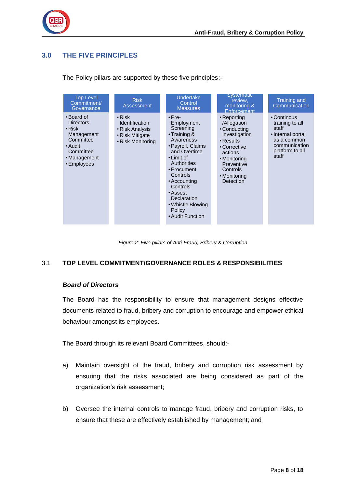

## <span id="page-9-0"></span>**3.0 THE FIVE PRINCIPLES**

Top Level Commitment/ **Governance** •Board of **Directors** • Risk Management **Committee** •Audit **Committee** • Management •Employees Risk Assessment • Risk Identification • Risk Analysis • Risk Mitigate • Risk Monitoring Undertake **Control Measures** •Pre-Employment **Screening** • Training & Awareness •Payroll, Claims and Overtime • Limit of **Authorities** •Procument **Controls** •Accounting **Controls** •Assest **Declaration** • Whistle Blowing Policy •Audit Function **Systematic** review, monitoring & **Enforcement** • Reporting /Allegation • Conducting Investigation • Results • Corrective actions • Monitoring **Preventive Controls** • Monitoring **Detection** Training and **Communication** • Continous training to all staff •Internal portal as a common communication platform to all .<br>staff

The Policy pillars are supported by these five principles:-

*Figure 2: Five pillars of Anti-Fraud, Bribery & Corruption*

#### <span id="page-9-1"></span>3.1 **TOP LEVEL COMMITMENT/GOVERNANCE ROLES & RESPONSIBILITIES**

#### *Board of Directors*

The Board has the responsibility to ensure that management designs effective documents related to fraud, bribery and corruption to encourage and empower ethical behaviour amongst its employees.

The Board through its relevant Board Committees, should:-

- a) Maintain oversight of the fraud, bribery and corruption risk assessment by ensuring that the risks associated are being considered as part of the organization's risk assessment;
- b) Oversee the internal controls to manage fraud, bribery and corruption risks, to ensure that these are effectively established by management; and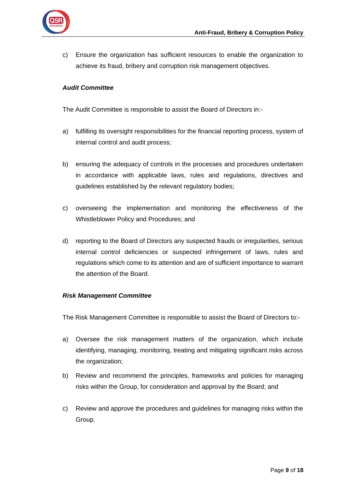

c) Ensure the organization has sufficient resources to enable the organization to achieve its fraud, bribery and corruption risk management objectives.

## *Audit Committee*

The Audit Committee is responsible to assist the Board of Directors in:-

- a) fulfilling its oversight responsibilities for the financial reporting process, system of internal control and audit process;
- b) ensuring the adequacy of controls in the processes and procedures undertaken in accordance with applicable laws, rules and regulations, directives and guidelines established by the relevant regulatory bodies;
- c) overseeing the implementation and monitoring the effectiveness of the Whistleblower Policy and Procedures; and
- d) reporting to the Board of Directors any suspected frauds or irregularities, serious internal control deficiencies or suspected infringement of laws, rules and regulations which come to its attention and are of sufficient importance to warrant the attention of the Board.

#### *Risk Management Committee*

The Risk Management Committee is responsible to assist the Board of Directors to:-

- a) Oversee the risk management matters of the organization, which include identifying, managing, monitoring, treating and mitigating significant risks across the organization;
- b) Review and recommend the principles, frameworks and policies for managing risks within the Group, for consideration and approval by the Board; and
- c) Review and approve the procedures and guidelines for managing risks within the Group.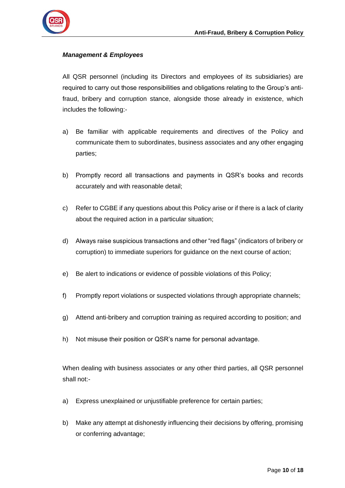

#### *Management & Employees*

All QSR personnel (including its Directors and employees of its subsidiaries) are required to carry out those responsibilities and obligations relating to the Group's antifraud, bribery and corruption stance, alongside those already in existence, which includes the following:-

- a) Be familiar with applicable requirements and directives of the Policy and communicate them to subordinates, business associates and any other engaging parties;
- b) Promptly record all transactions and payments in QSR's books and records accurately and with reasonable detail;
- c) Refer to CGBE if any questions about this Policy arise or if there is a lack of clarity about the required action in a particular situation;
- d) Always raise suspicious transactions and other "red flags" (indicators of bribery or corruption) to immediate superiors for guidance on the next course of action;
- e) Be alert to indications or evidence of possible violations of this Policy;
- f) Promptly report violations or suspected violations through appropriate channels;
- g) Attend anti-bribery and corruption training as required according to position; and
- h) Not misuse their position or QSR's name for personal advantage.

When dealing with business associates or any other third parties, all QSR personnel shall not:-

- a) Express unexplained or unjustifiable preference for certain parties;
- b) Make any attempt at dishonestly influencing their decisions by offering, promising or conferring advantage;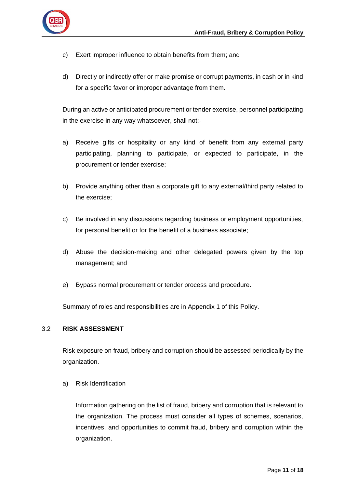

- c) Exert improper influence to obtain benefits from them; and
- d) Directly or indirectly offer or make promise or corrupt payments, in cash or in kind for a specific favor or improper advantage from them.

During an active or anticipated procurement or tender exercise, personnel participating in the exercise in any way whatsoever, shall not:-

- a) Receive gifts or hospitality or any kind of benefit from any external party participating, planning to participate, or expected to participate, in the procurement or tender exercise;
- b) Provide anything other than a corporate gift to any external/third party related to the exercise;
- c) Be involved in any discussions regarding business or employment opportunities, for personal benefit or for the benefit of a business associate;
- d) Abuse the decision-making and other delegated powers given by the top management; and
- e) Bypass normal procurement or tender process and procedure.

Summary of roles and responsibilities are in Appendix 1 of this Policy.

#### <span id="page-12-0"></span>3.2 **RISK ASSESSMENT**

Risk exposure on fraud, bribery and corruption should be assessed periodically by the organization.

a) Risk Identification

Information gathering on the list of fraud, bribery and corruption that is relevant to the organization. The process must consider all types of schemes, scenarios, incentives, and opportunities to commit fraud, bribery and corruption within the organization.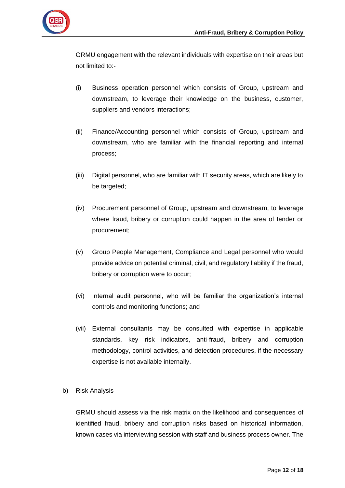

GRMU engagement with the relevant individuals with expertise on their areas but not limited to:-

- (i) Business operation personnel which consists of Group, upstream and downstream, to leverage their knowledge on the business, customer, suppliers and vendors interactions;
- (ii) Finance/Accounting personnel which consists of Group, upstream and downstream, who are familiar with the financial reporting and internal process;
- (iii) Digital personnel, who are familiar with IT security areas, which are likely to be targeted;
- (iv) Procurement personnel of Group, upstream and downstream, to leverage where fraud, bribery or corruption could happen in the area of tender or procurement;
- (v) Group People Management, Compliance and Legal personnel who would provide advice on potential criminal, civil, and regulatory liability if the fraud, bribery or corruption were to occur;
- (vi) Internal audit personnel, who will be familiar the organization's internal controls and monitoring functions; and
- (vii) External consultants may be consulted with expertise in applicable standards, key risk indicators, anti-fraud, bribery and corruption methodology, control activities, and detection procedures, if the necessary expertise is not available internally.
- b) Risk Analysis

GRMU should assess via the risk matrix on the likelihood and consequences of identified fraud, bribery and corruption risks based on historical information, known cases via interviewing session with staff and business process owner. The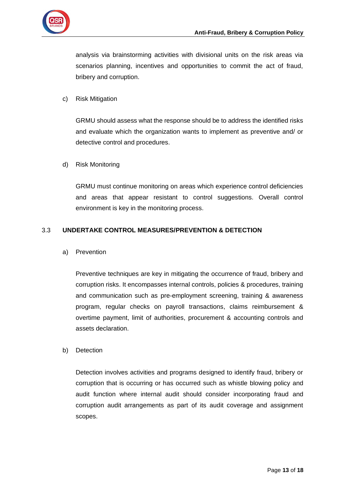

analysis via brainstorming activities with divisional units on the risk areas via scenarios planning, incentives and opportunities to commit the act of fraud, bribery and corruption.

#### c) Risk Mitigation

GRMU should assess what the response should be to address the identified risks and evaluate which the organization wants to implement as preventive and/ or detective control and procedures.

#### d) Risk Monitoring

GRMU must continue monitoring on areas which experience control deficiencies and areas that appear resistant to control suggestions. Overall control environment is key in the monitoring process.

#### <span id="page-14-0"></span>3.3 **UNDERTAKE CONTROL MEASURES/PREVENTION & DETECTION**

a) Prevention

Preventive techniques are key in mitigating the occurrence of fraud, bribery and corruption risks. It encompasses internal controls, policies & procedures, training and communication such as pre-employment screening, training & awareness program, regular checks on payroll transactions, claims reimbursement & overtime payment, limit of authorities, procurement & accounting controls and assets declaration.

#### b) Detection

Detection involves activities and programs designed to identify fraud, bribery or corruption that is occurring or has occurred such as whistle blowing policy and audit function where internal audit should consider incorporating fraud and corruption audit arrangements as part of its audit coverage and assignment scopes.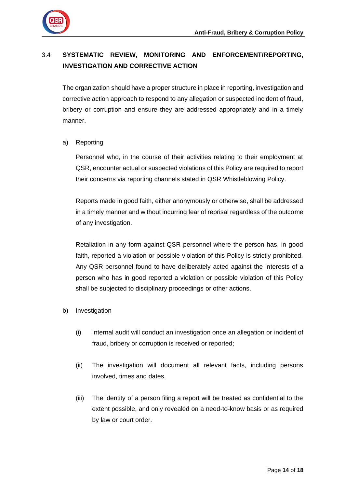

## <span id="page-15-0"></span>3.4 **SYSTEMATIC REVIEW, MONITORING AND ENFORCEMENT/REPORTING, INVESTIGATION AND CORRECTIVE ACTION**

The organization should have a proper structure in place in reporting, investigation and corrective action approach to respond to any allegation or suspected incident of fraud, bribery or corruption and ensure they are addressed appropriately and in a timely manner.

## a) Reporting

Personnel who, in the course of their activities relating to their employment at QSR, encounter actual or suspected violations of this Policy are required to report their concerns via reporting channels stated in QSR Whistleblowing Policy.

Reports made in good faith, either anonymously or otherwise, shall be addressed in a timely manner and without incurring fear of reprisal regardless of the outcome of any investigation.

Retaliation in any form against QSR personnel where the person has, in good faith, reported a violation or possible violation of this Policy is strictly prohibited. Any QSR personnel found to have deliberately acted against the interests of a person who has in good reported a violation or possible violation of this Policy shall be subjected to disciplinary proceedings or other actions.

- b) Investigation
	- (i) Internal audit will conduct an investigation once an allegation or incident of fraud, bribery or corruption is received or reported;
	- (ii) The investigation will document all relevant facts, including persons involved, times and dates.
	- (iii) The identity of a person filing a report will be treated as confidential to the extent possible, and only revealed on a need-to-know basis or as required by law or court order.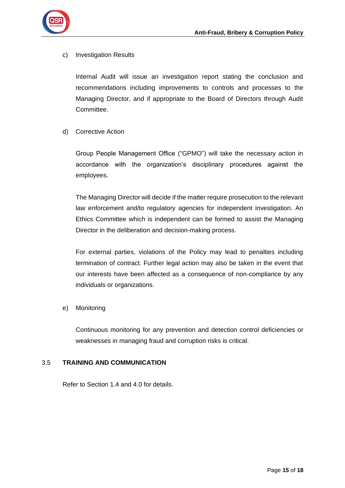

#### c) Investigation Results

Internal Audit will issue an investigation report stating the conclusion and recommendations including improvements to controls and processes to the Managing Director, and if appropriate to the Board of Directors through Audit Committee.

#### d) Corrective Action

Group People Management Office ("GPMO") will take the necessary action in accordance with the organization's disciplinary procedures against the employees.

The Managing Director will decide if the matter require prosecution to the relevant law enforcement and/to regulatory agencies for independent investigation. An Ethics Committee which is independent can be formed to assist the Managing Director in the deliberation and decision-making process.

For external parties, violations of the Policy may lead to penalties including termination of contract. Further legal action may also be taken in the event that our interests have been affected as a consequence of non-compliance by any individuals or organizations.

#### e) Monitoring

Continuous monitoring for any prevention and detection control deficiencies or weaknesses in managing fraud and corruption risks is critical.

#### <span id="page-16-0"></span>3.5 **TRAINING AND COMMUNICATION**

Refer to Section 1.4 and 4.0 for details.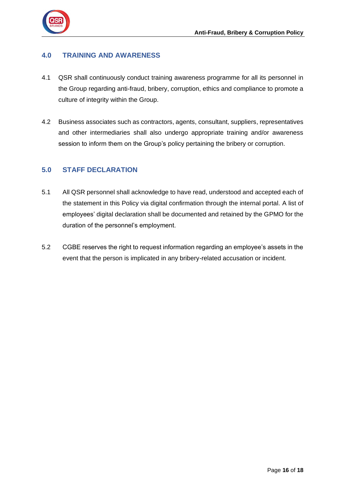

## <span id="page-17-0"></span>**4.0 TRAINING AND AWARENESS**

- 4.1 QSR shall continuously conduct training awareness programme for all its personnel in the Group regarding anti-fraud, bribery, corruption, ethics and compliance to promote a culture of integrity within the Group.
- 4.2 Business associates such as contractors, agents, consultant, suppliers, representatives and other intermediaries shall also undergo appropriate training and/or awareness session to inform them on the Group's policy pertaining the bribery or corruption.

## <span id="page-17-1"></span>**5.0 STAFF DECLARATION**

- 5.1 All QSR personnel shall acknowledge to have read, understood and accepted each of the statement in this Policy via digital confirmation through the internal portal. A list of employees' digital declaration shall be documented and retained by the GPMO for the duration of the personnel's employment.
- 5.2 CGBE reserves the right to request information regarding an employee's assets in the event that the person is implicated in any bribery-related accusation or incident.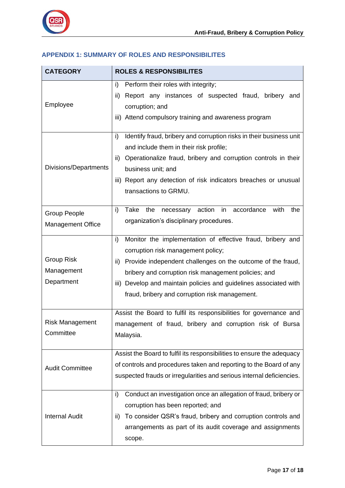

## <span id="page-18-0"></span>**APPENDIX 1: SUMMARY OF ROLES AND RESPONSIBILITES**

| <b>CATEGORY</b>                                 | <b>ROLES &amp; RESPONSIBILITES</b>                                                                                                                                                                                                                                                                                                                             |
|-------------------------------------------------|----------------------------------------------------------------------------------------------------------------------------------------------------------------------------------------------------------------------------------------------------------------------------------------------------------------------------------------------------------------|
| Employee                                        | Perform their roles with integrity;<br>i)<br>Report any instances of suspected fraud, bribery<br>ii)<br>and<br>corruption; and<br>Attend compulsory training and awareness program<br>iii)                                                                                                                                                                     |
| Divisions/Departments                           | Identify fraud, bribery and corruption risks in their business unit<br>i)<br>and include them in their risk profile;<br>Operationalize fraud, bribery and corruption controls in their<br>ii)<br>business unit; and<br>Report any detection of risk indicators breaches or unusual<br>iii)<br>transactions to GRMU.                                            |
| <b>Group People</b><br><b>Management Office</b> | i)<br>Take<br>in<br>accordance<br>with<br>the<br>action<br>the<br>necessary<br>organization's disciplinary procedures.                                                                                                                                                                                                                                         |
| <b>Group Risk</b><br>Management<br>Department   | Monitor the implementation of effective fraud, bribery and<br>i)<br>corruption risk management policy;<br>Provide independent challenges on the outcome of the fraud,<br>ii)<br>bribery and corruption risk management policies; and<br>Develop and maintain policies and guidelines associated with<br>iii)<br>fraud, bribery and corruption risk management. |
| <b>Risk Management</b><br>Committee             | Assist the Board to fulfil its responsibilities for governance and<br>management of fraud, bribery and corruption risk of Bursa<br>Malaysia.                                                                                                                                                                                                                   |
| <b>Audit Committee</b>                          | Assist the Board to fulfil its responsibilities to ensure the adequacy<br>of controls and procedures taken and reporting to the Board of any<br>suspected frauds or irregularities and serious internal deficiencies.                                                                                                                                          |
| <b>Internal Audit</b>                           | Conduct an investigation once an allegation of fraud, bribery or<br>i)<br>corruption has been reported; and<br>To consider QSR's fraud, bribery and corruption controls and<br>ii)<br>arrangements as part of its audit coverage and assignments<br>scope.                                                                                                     |